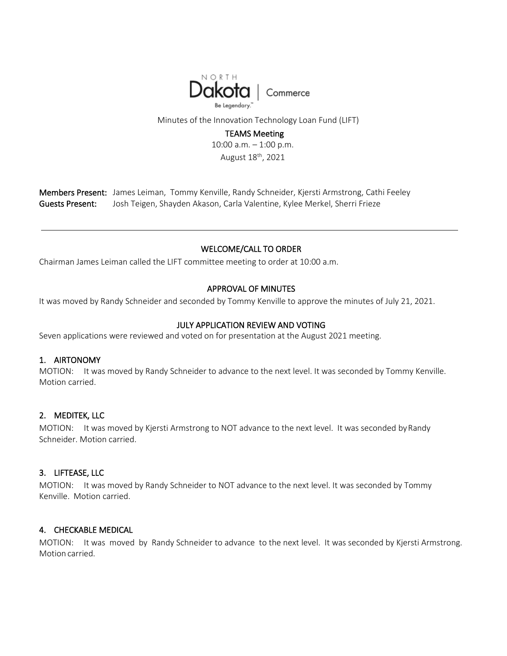

Minutes of the Innovation Technology Loan Fund (LIFT)

# TEAMS Meeting

10:00 a.m. – 1:00 p.m. August 18th, 2021

Members Present: James Leiman, Tommy Kenville, Randy Schneider, Kjersti Armstrong, Cathi Feeley Guests Present: Josh Teigen, Shayden Akason, Carla Valentine, Kylee Merkel, Sherri Frieze

## WELCOME/CALL TO ORDER

Chairman James Leiman called the LIFT committee meeting to order at 10:00 a.m.

# APPROVAL OF MINUTES

It was moved by Randy Schneider and seconded by Tommy Kenville to approve the minutes of July 21, 2021.

# JULY APPLICATION REVIEW AND VOTING

Seven applications were reviewed and voted on for presentation at the August 2021 meeting.

# 1. AIRTONOMY

MOTION: It was moved by Randy Schneider to advance to the next level. It was seconded by Tommy Kenville. Motion carried.

## 2. MEDITEK, LLC

MOTION: It was moved by Kjersti Armstrong to NOT advance to the next level. It was seconded by Randy Schneider. Motion carried.

## 3. LIFTEASE, LLC

MOTION: It was moved by Randy Schneider to NOT advance to the next level. It was seconded by Tommy Kenville. Motion carried.

## 4. CHECKABLE MEDICAL

MOTION: It was moved by Randy Schneider to advance to the next level. It was seconded by Kjersti Armstrong. Motion carried.